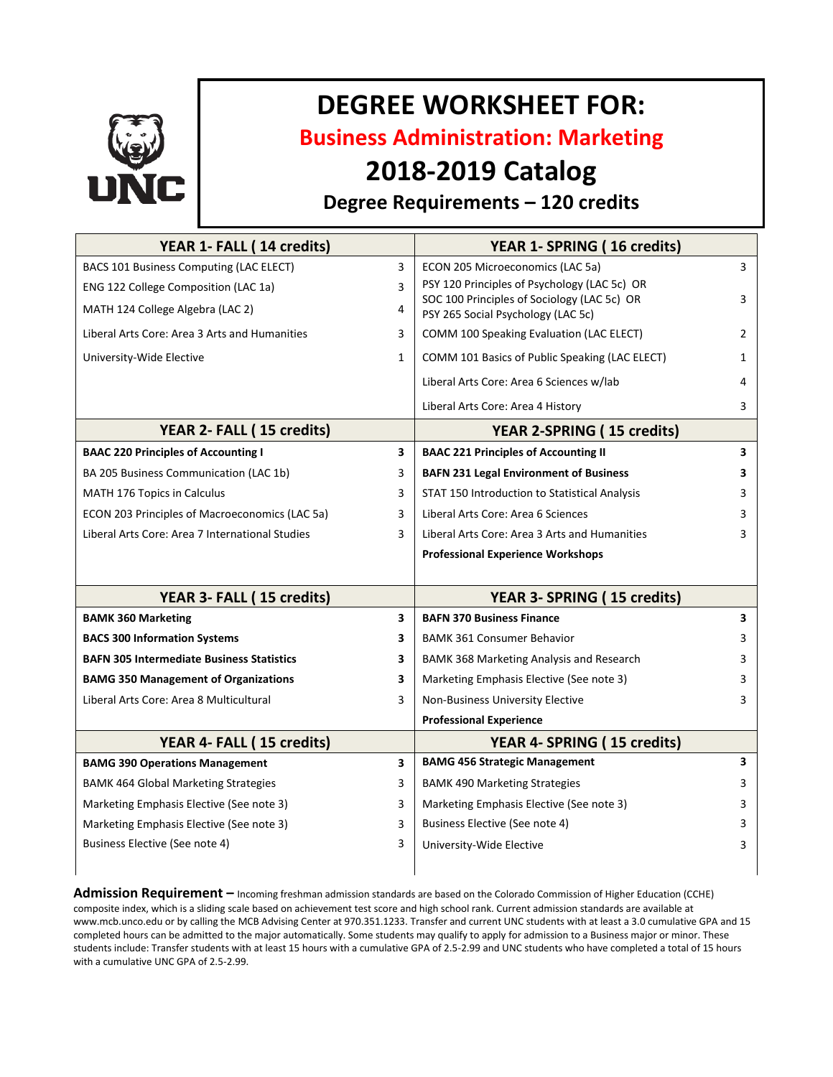

# **DEGREE WORKSHEET FOR:**

**Business Administration: Marketing**

# **2018-2019 Catalog**

## **Degree Requirements – 120 credits**

| YEAR 1- FALL (14 credits)                        |              | YEAR 1- SPRING (16 credits)                                                       |                |
|--------------------------------------------------|--------------|-----------------------------------------------------------------------------------|----------------|
| BACS 101 Business Computing (LAC ELECT)          | 3            | ECON 205 Microeconomics (LAC 5a)                                                  | 3              |
| ENG 122 College Composition (LAC 1a)             | 3            | PSY 120 Principles of Psychology (LAC 5c) OR                                      |                |
| MATH 124 College Algebra (LAC 2)                 | 4            | SOC 100 Principles of Sociology (LAC 5c) OR<br>PSY 265 Social Psychology (LAC 5c) | 3              |
| Liberal Arts Core: Area 3 Arts and Humanities    | 3            | COMM 100 Speaking Evaluation (LAC ELECT)                                          | $\overline{2}$ |
| University-Wide Elective                         | $\mathbf{1}$ | COMM 101 Basics of Public Speaking (LAC ELECT)                                    | $\mathbf{1}$   |
|                                                  |              | Liberal Arts Core: Area 6 Sciences w/lab                                          | 4              |
|                                                  |              | Liberal Arts Core: Area 4 History                                                 | 3              |
| YEAR 2- FALL (15 credits)                        |              | <b>YEAR 2-SPRING (15 credits)</b>                                                 |                |
| <b>BAAC 220 Principles of Accounting I</b>       | 3            | <b>BAAC 221 Principles of Accounting II</b>                                       | 3              |
| BA 205 Business Communication (LAC 1b)           | 3            | <b>BAFN 231 Legal Environment of Business</b>                                     | 3              |
| MATH 176 Topics in Calculus                      | 3            | STAT 150 Introduction to Statistical Analysis                                     | 3              |
| ECON 203 Principles of Macroeconomics (LAC 5a)   | 3            | Liberal Arts Core: Area 6 Sciences                                                | 3              |
| Liberal Arts Core: Area 7 International Studies  | 3            | Liberal Arts Core: Area 3 Arts and Humanities                                     | 3              |
|                                                  |              | <b>Professional Experience Workshops</b>                                          |                |
|                                                  |              |                                                                                   |                |
| YEAR 3- FALL (15 credits)                        |              | YEAR 3- SPRING (15 credits)                                                       |                |
| <b>BAMK 360 Marketing</b>                        | 3            | <b>BAFN 370 Business Finance</b>                                                  | 3              |
| <b>BACS 300 Information Systems</b>              | 3            | <b>BAMK 361 Consumer Behavior</b>                                                 | 3              |
| <b>BAFN 305 Intermediate Business Statistics</b> | 3            | BAMK 368 Marketing Analysis and Research                                          | 3              |
| <b>BAMG 350 Management of Organizations</b>      | 3            | Marketing Emphasis Elective (See note 3)                                          | 3              |
| Liberal Arts Core: Area 8 Multicultural          | 3            | Non-Business University Elective                                                  | 3              |
|                                                  |              | <b>Professional Experience</b>                                                    |                |
| YEAR 4- FALL (15 credits)                        |              | YEAR 4- SPRING (15 credits)                                                       |                |
| <b>BAMG 390 Operations Management</b>            | 3            | <b>BAMG 456 Strategic Management</b>                                              | 3              |
| <b>BAMK 464 Global Marketing Strategies</b>      | 3            | <b>BAMK 490 Marketing Strategies</b>                                              | 3              |
| Marketing Emphasis Elective (See note 3)         | 3            | Marketing Emphasis Elective (See note 3)                                          | 3              |
| Marketing Emphasis Elective (See note 3)         | 3            | Business Elective (See note 4)                                                    | 3              |
| Business Elective (See note 4)                   | 3            | University-Wide Elective                                                          | 3              |
|                                                  |              |                                                                                   |                |

**Admission Requirement –** Incoming freshman admission standards are based on the Colorado Commission of Higher Education (CCHE) composite index, which is a sliding scale based on achievement test score and high school rank. Current admission standards are available at www.mcb.unco.edu or by calling the MCB Advising Center at 970.351.1233. Transfer and current UNC students with at least a 3.0 cumulative GPA and 15 completed hours can be admitted to the major automatically. Some students may qualify to apply for admission to a Business major or minor. These students include: Transfer students with at least 15 hours with a cumulative GPA of 2.5-2.99 and UNC students who have completed a total of 15 hours with a cumulative UNC GPA of 2.5-2.99.